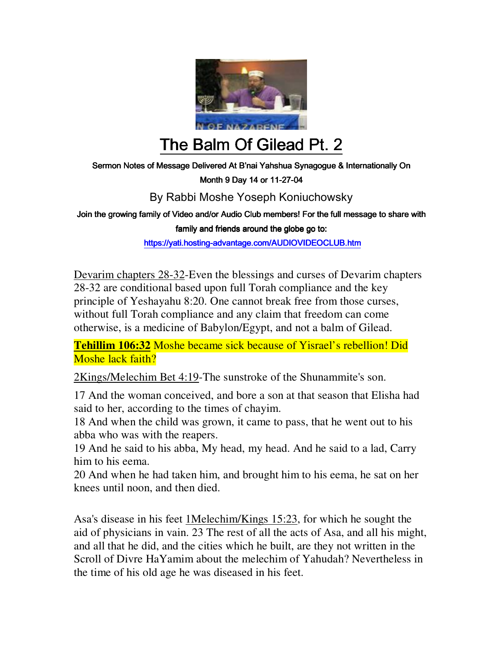

# The Balm Of Gilead Pt. 2

Sermon Notes of Message Delivered At B'nai Yahshua Synagogue & Internationally On

Month 9 Day 14 or 11-27-04

### By Rabbi Moshe Yoseph Koniuchowsky

Join the growing family of Video and/or Audio Club members! For the full message to share with

family and friends around the globe go to:

https://yati.hosting-advantage.com/AUDIOVIDEOCLUB.htm

Devarim chapters 28-32-Even the blessings and curses of Devarim chapters 28-32 are conditional based upon full Torah compliance and the key principle of Yeshayahu 8:20. One cannot break free from those curses, without full Torah compliance and any claim that freedom can come otherwise, is a medicine of Babylon/Egypt, and not a balm of Gilead.

**Tehillim 106:32** Moshe became sick because of Yisrael's rebellion! Did Moshe lack faith?

2Kings/Melechim Bet 4:19-The sunstroke of the Shunammite's son.

17 And the woman conceived, and bore a son at that season that Elisha had said to her, according to the times of chayim.

18 And when the child was grown, it came to pass, that he went out to his abba who was with the reapers.

19 And he said to his abba, My head, my head. And he said to a lad, Carry him to his eema.

20 And when he had taken him, and brought him to his eema, he sat on her knees until noon, and then died.

Asa's disease in his feet 1Melechim/Kings 15:23, for which he sought the aid of physicians in vain. 23 The rest of all the acts of Asa, and all his might, and all that he did, and the cities which he built, are they not written in the Scroll of Divre HaYamim about the melechim of Yahudah? Nevertheless in the time of his old age he was diseased in his feet.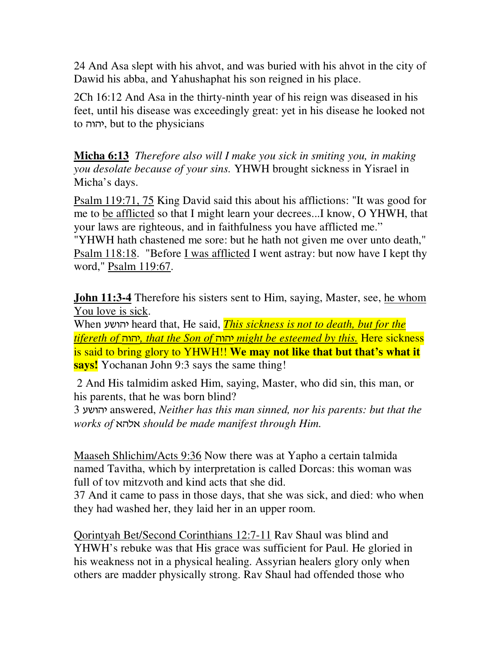24 And Asa slept with his ahvot, and was buried with his ahvot in the city of Dawid his abba, and Yahushaphat his son reigned in his place.

2Ch 16:12 And Asa in the thirty-ninth year of his reign was diseased in his feet, until his disease was exceedingly great: yet in his disease he looked not to *fo*, but to the physicians

**Micha 6:13** *Therefore also will I make you sick in smiting you, in making you desolate because of your sins.* YHWH brought sickness in Yisrael in Micha's days.

Psalm 119:71, 75 King David said this about his afflictions: "It was good for me to be afflicted so that I might learn your decrees...I know, O YHWH, that your laws are righteous, and in faithfulness you have afflicted me." "YHWH hath chastened me sore: but he hath not given me over unto death,"

Psalm 118:18. "Before I was afflicted I went astray: but now have I kept thy word," Psalm 119:67.

**John 11:3-4** Therefore his sisters sent to Him, saying, Master, see, he whom You love is sick.

When gauvh heard that, He said, *This sickness is not to death, but for the tifereth of* vuvh*, that the Son of* vuvh *might be esteemed by this.* Here sickness is said to bring glory to YHWH!! **We may not like that but that's what it says!** Yochanan John 9:3 says the same thing!

 2 And His talmidim asked Him, saying, Master, who did sin, this man, or his parents, that he was born blind?

3 gauvh answered, *Neither has this man sinned, nor his parents: but that the works of* tvkt *should be made manifest through Him.* 

Maaseh Shlichim/Acts 9:36 Now there was at Yapho a certain talmida named Tavitha, which by interpretation is called Dorcas: this woman was full of tov mitzvoth and kind acts that she did.

37 And it came to pass in those days, that she was sick, and died: who when they had washed her, they laid her in an upper room.

Qorintyah Bet/Second Corinthians 12:7-11 Rav Shaul was blind and YHWH's rebuke was that His grace was sufficient for Paul. He gloried in his weakness not in a physical healing. Assyrian healers glory only when others are madder physically strong. Rav Shaul had offended those who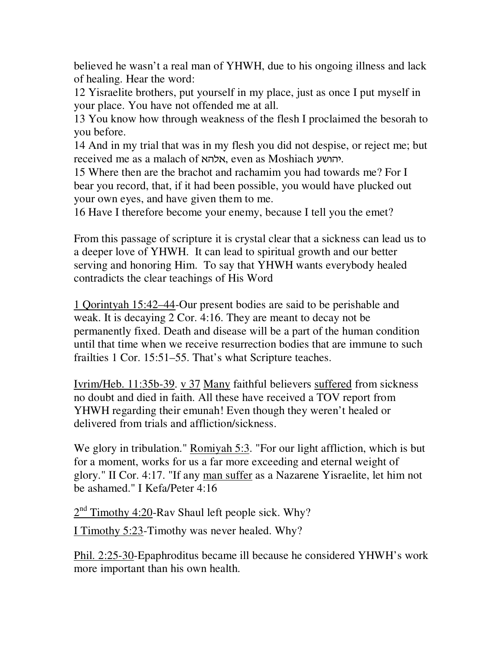believed he wasn't a real man of YHWH, due to his ongoing illness and lack of healing. Hear the word:

12 Yisraelite brothers, put yourself in my place, just as once I put myself in your place. You have not offended me at all.

13 You know how through weakness of the flesh I proclaimed the besorah to you before.

14 And in my trial that was in my flesh you did not despise, or reject me; but received me as a malach of אלהא, even as Moshiach yיהושע.

15 Where then are the brachot and rachamim you had towards me? For I bear you record, that, if it had been possible, you would have plucked out your own eyes, and have given them to me.

16 Have I therefore become your enemy, because I tell you the emet?

From this passage of scripture it is crystal clear that a sickness can lead us to a deeper love of YHWH. It can lead to spiritual growth and our better serving and honoring Him. To say that YHWH wants everybody healed contradicts the clear teachings of His Word

1 Qorintyah 15:42–44-Our present bodies are said to be perishable and weak. It is decaying 2 Cor. 4:16. They are meant to decay not be permanently fixed. Death and disease will be a part of the human condition until that time when we receive resurrection bodies that are immune to such frailties 1 Cor. 15:51–55. That's what Scripture teaches.

Ivrim/Heb. 11:35b-39. v 37 Many faithful believers suffered from sickness no doubt and died in faith. All these have received a TOV report from YHWH regarding their emunah! Even though they weren't healed or delivered from trials and affliction/sickness.

We glory in tribulation." Romiyah 5:3. "For our light affliction, which is but for a moment, works for us a far more exceeding and eternal weight of glory." II Cor. 4:17. "If any man suffer as a Nazarene Yisraelite, let him not be ashamed." I Kefa/Peter 4:16

 $2<sup>nd</sup>$  Timothy 4:20-Rav Shaul left people sick. Why?

I Timothy 5:23-Timothy was never healed. Why?

Phil. 2:25-30-Epaphroditus became ill because he considered YHWH's work more important than his own health.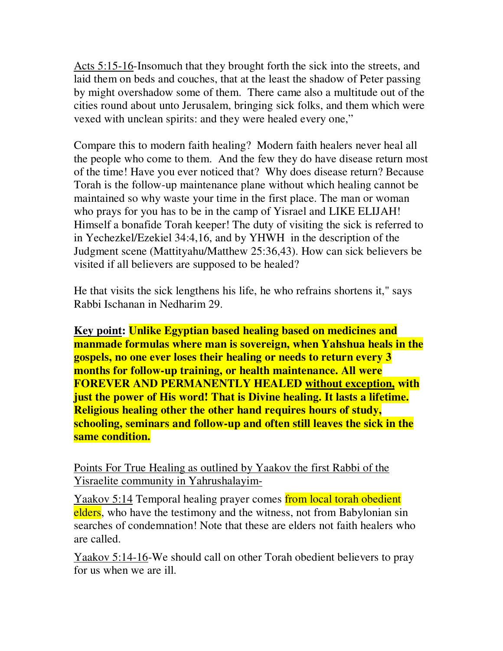Acts 5:15-16-Insomuch that they brought forth the sick into the streets, and laid them on beds and couches, that at the least the shadow of Peter passing by might overshadow some of them. There came also a multitude out of the cities round about unto Jerusalem, bringing sick folks, and them which were vexed with unclean spirits: and they were healed every one,"

Compare this to modern faith healing? Modern faith healers never heal all the people who come to them. And the few they do have disease return most of the time! Have you ever noticed that? Why does disease return? Because Torah is the follow-up maintenance plane without which healing cannot be maintained so why waste your time in the first place. The man or woman who prays for you has to be in the camp of Yisrael and LIKE ELIJAH! Himself a bonafide Torah keeper! The duty of visiting the sick is referred to in Yechezkel/Ezekiel 34:4,16, and by YHWH in the description of the Judgment scene (Mattityahu/Matthew 25:36,43). How can sick believers be visited if all believers are supposed to be healed?

He that visits the sick lengthens his life, he who refrains shortens it," says Rabbi Ischanan in Nedharim 29.

**Key point: Unlike Egyptian based healing based on medicines and manmade formulas where man is sovereign, when Yahshua heals in the gospels, no one ever loses their healing or needs to return every 3 months for follow-up training, or health maintenance. All were FOREVER AND PERMANENTLY HEALED without exception, with just the power of His word! That is Divine healing. It lasts a lifetime. Religious healing other the other hand requires hours of study, schooling, seminars and follow-up and often still leaves the sick in the same condition.**

Points For True Healing as outlined by Yaakov the first Rabbi of the Yisraelite community in Yahrushalayim-

Yaakov 5:14 Temporal healing prayer comes from local torah obedient elders, who have the testimony and the witness, not from Babylonian sin searches of condemnation! Note that these are elders not faith healers who are called.

Yaakov 5:14-16-We should call on other Torah obedient believers to pray for us when we are ill.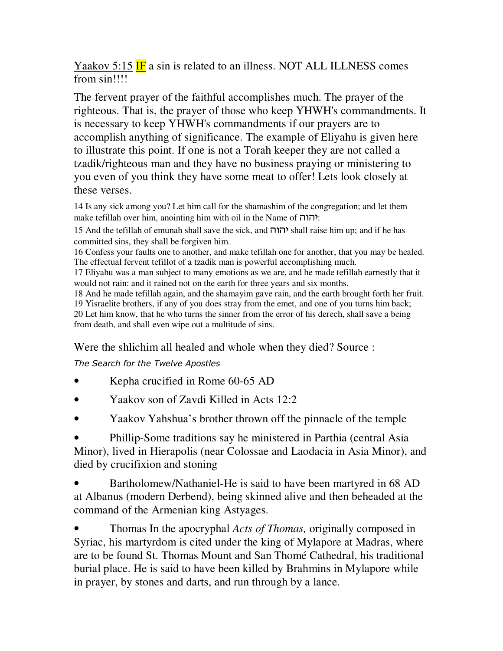Yaakov 5:15 IF a sin is related to an illness. NOT ALL ILLNESS comes from sin!!!!

The fervent prayer of the faithful accomplishes much. The prayer of the righteous. That is, the prayer of those who keep YHWH's commandments. It is necessary to keep YHWH's commandments if our prayers are to accomplish anything of significance. The example of Eliyahu is given here to illustrate this point. If one is not a Torah keeper they are not called a tzadik/righteous man and they have no business praying or ministering to you even of you think they have some meat to offer! Lets look closely at these verses.

14 Is any sick among you? Let him call for the shamashim of the congregation; and let them make tefillah over him, anointing him with oil in the Name of  $\overline{\mathsf{min}}$ :

15 And the tefillah of emunah shall save the sick, and  $\overline{I}$   $\overline{I}$  shall raise him up; and if he has committed sins, they shall be forgiven him.

16 Confess your faults one to another, and make tefillah one for another, that you may be healed. The effectual fervent tefillot of a tzadik man is powerful accomplishing much.

17 Eliyahu was a man subject to many emotions as we are, and he made tefillah earnestly that it would not rain: and it rained not on the earth for three years and six months.

18 And he made tefillah again, and the shamayim gave rain, and the earth brought forth her fruit. 19 Yisraelite brothers, if any of you does stray from the emet, and one of you turns him back; 20 Let him know, that he who turns the sinner from the error of his derech, shall save a being from death, and shall even wipe out a multitude of sins.

Were the shlichim all healed and whole when they died? Source :

*The Search for the Twelve Apostles*

- Kepha crucified in Rome 60-65 AD
- Yaakov son of Zavdi Killed in Acts 12:2
- Yaakov Yahshua's brother thrown off the pinnacle of the temple

• Phillip-Some traditions say he ministered in Parthia (central Asia Minor), lived in Hierapolis (near Colossae and Laodacia in Asia Minor), and died by crucifixion and stoning

• Bartholomew/Nathaniel-He is said to have been martyred in 68 AD at Albanus (modern Derbend), being skinned alive and then beheaded at the command of the Armenian king Astyages.

• Thomas In the apocryphal *Acts of Thomas,* originally composed in Syriac, his martyrdom is cited under the king of Mylapore at Madras, where are to be found St. Thomas Mount and San Thomé Cathedral, his traditional burial place. He is said to have been killed by Brahmins in Mylapore while in prayer, by stones and darts, and run through by a lance.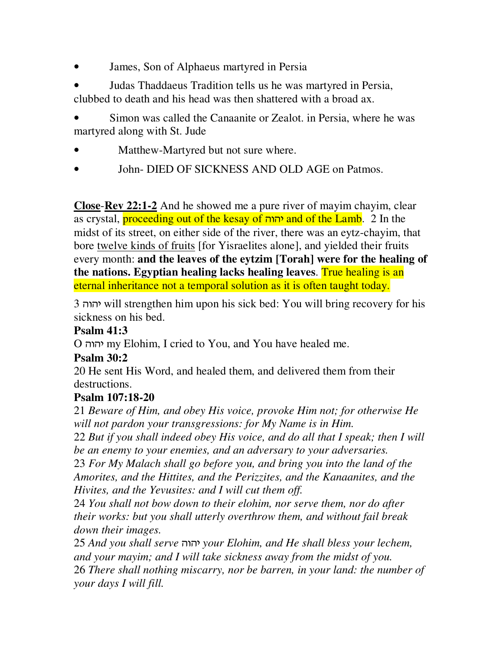- James, Son of Alphaeus martyred in Persia
- Judas Thaddaeus Tradition tells us he was martyred in Persia, clubbed to death and his head was then shattered with a broad ax.

Simon was called the Canaanite or Zealot. in Persia, where he was martyred along with St. Jude

- Matthew-Martyred but not sure where.
- John- DIED OF SICKNESS AND OLD AGE on Patmos.

**Close**-**Rev 22:1-2** And he showed me a pure river of mayim chayim, clear as crystal, *proceeding out of the kesay of יהוה* and of the Lamb. 2 In the midst of its street, on either side of the river, there was an eytz-chayim, that bore twelve kinds of fruits [for Yisraelites alone], and yielded their fruits every month: **and the leaves of the eytzim [Torah] were for the healing of the nations. Egyptian healing lacks healing leaves**. True healing is an eternal inheritance not a temporal solution as it is often taught today.

3 vuvh will strengthen him upon his sick bed: You will bring recovery for his sickness on his bed.

#### **Psalm 41:3**

O vuvh my Elohim, I cried to You, and You have healed me.

## **Psalm 30:2**

20 He sent His Word, and healed them, and delivered them from their destructions.

## **Psalm 107:18-20**

21 *Beware of Him, and obey His voice, provoke Him not; for otherwise He will not pardon your transgressions: for My Name is in Him.*

22 *But if you shall indeed obey His voice, and do all that I speak; then I will be an enemy to your enemies, and an adversary to your adversaries.*

23 *For My Malach shall go before you, and bring you into the land of the Amorites, and the Hittites, and the Perizzites, and the Kanaanites, and the Hivites, and the Yevusites: and I will cut them off.* 

24 *You shall not bow down to their elohim, nor serve them, nor do after their works: but you shall utterly overthrow them, and without fail break down their images.* 

25 *And you shall serve* vuvh *your Elohim, and He shall bless your lechem, and your mayim; and I will take sickness away from the midst of you.*  26 *There shall nothing miscarry, nor be barren, in your land: the number of your days I will fill.*